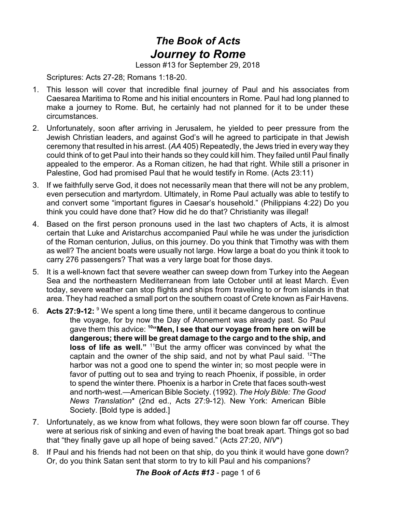## *The Book of Acts Journey to Rome*

Lesson #13 for September 29, 2018

Scriptures: Acts 27-28; Romans 1:18-20.

- 1. This lesson will cover that incredible final journey of Paul and his associates from Caesarea Maritima to Rome and his initial encounters in Rome. Paul had long planned to make a journey to Rome. But, he certainly had not planned for it to be under these circumstances.
- 2. Unfortunately, soon after arriving in Jerusalem, he yielded to peer pressure from the Jewish Christian leaders, and against God's will he agreed to participate in that Jewish ceremony that resulted in his arrest. (*AA* 405) Repeatedly, the Jews tried in every way they could think of to get Paul into their hands so they could kill him. They failed until Paul finally appealed to the emperor. As a Roman citizen, he had that right. While still a prisoner in Palestine, God had promised Paul that he would testify in Rome. (Acts 23:11)
- 3. If we faithfully serve God, it does not necessarily mean that there will not be any problem, even persecution and martyrdom. Ultimately, in Rome Paul actually was able to testify to and convert some "important figures in Caesar's household." (Philippians 4:22) Do you think you could have done that? How did he do that? Christianity was illegal!
- 4. Based on the first person pronouns used in the last two chapters of Acts, it is almost certain that Luke and Aristarchus accompanied Paul while he was under the jurisdiction of the Roman centurion, Julius, on this journey. Do you think that Timothy was with them as well? The ancient boats were usually not large. How large a boat do you think it took to carry 276 passengers? That was a very large boat for those days.
- 5. It is a well-known fact that severe weather can sweep down from Turkey into the Aegean Sea and the northeastern Mediterranean from late October until at least March. Even today, severe weather can stop flights and ships from traveling to or from islands in that area. They had reached a small port on the southern coast of Crete known as Fair Havens.
- 6. **Acts 27:9-12:** <sup>9</sup> We spent a long time there, until it became dangerous to continue the voyage, for by now the Day of Atonement was already past. So Paul gave them this advice: **<sup>10</sup> "Men, I see that our voyage from here on will be dangerous; there will be great damage to the cargo and to the ship, and** loss of life as well." <sup>11</sup>But the army officer was convinced by what the captain and the owner of the ship said, and not by what Paul said.  $12$ The harbor was not a good one to spend the winter in; so most people were in favor of putting out to sea and trying to reach Phoenix, if possible, in order to spend the winter there. Phoenix is a harbor in Crete that faces south-west and north-west.—American Bible Society. (1992). *The Holy Bible: The Good News Translation*\* (2nd ed., Acts 27:9-12). New York: American Bible Society. [Bold type is added.]
- 7. Unfortunately, as we know from what follows, they were soon blown far off course. They were at serious risk of sinking and even of having the boat break apart. Things got so bad that "they finally gave up all hope of being saved." (Acts 27:20, *NIV*\*)
- 8. If Paul and his friends had not been on that ship, do you think it would have gone down? Or, do you think Satan sent that storm to try to kill Paul and his companions?

*The Book of Acts #13* - page 1 of 6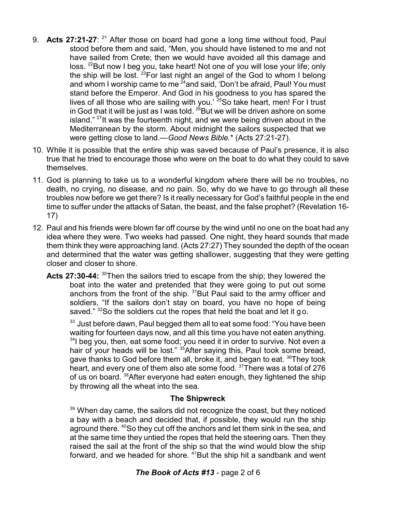- 9. **Acts 27:21-27**: <sup>21</sup> After those on board had gone a long time without food, Paul stood before them and said, "Men, you should have listened to me and not have sailed from Crete; then we would have avoided all this damage and loss. <sup>22</sup>But now I beg you, take heart! Not one of you will lose your life; only the ship will be lost.  $^{23}$ For last night an angel of the God to whom I belong and whom I worship came to me <sup>24</sup>and said, 'Don't be afraid, Paul! You must stand before the Emperor. And God in his goodness to you has spared the lives of all those who are sailing with you.<sup>' 25</sup>So take heart, men! For I trust in God that it will be just as I was told.  $^{26}$ But we will be driven ashore on some island." <sup>27</sup>It was the fourteenth night, and we were being driven about in the Mediterranean by the storm. About midnight the sailors suspected that we were getting close to land.—*Good News Bible.*\* (Acts 27:21-27).
- 10. While it is possible that the entire ship was saved because of Paul's presence, it is also true that he tried to encourage those who were on the boat to do what they could to save themselves.
- 11. God is planning to take us to a wonderful kingdom where there will be no troubles, no death, no crying, no disease, and no pain. So, why do we have to go through all these troubles now before we get there? Is it really necessary for God's faithful people in the end time to suffer under the attacks of Satan, the beast, and the false prophet? (Revelation 16- 17)
- 12. Paul and his friends were blown far off course by the wind until no one on the boat had any idea where they were. Two weeks had passed. One night, they heard sounds that made them think they were approaching land. (Acts 27:27) They sounded the depth of the ocean and determined that the water was getting shallower, suggesting that they were getting closer and closer to shore.
	- Acts 27:30-44: <sup>30</sup>Then the sailors tried to escape from the ship; they lowered the boat into the water and pretended that they were going to put out some anchors from the front of the ship.  $31$ But Paul said to the army officer and soldiers, "If the sailors don't stay on board, you have no hope of being saved."  $32$ So the soldiers cut the ropes that held the boat and let it go.

 $^{\rm 33}$  Just before dawn, Paul begged them all to eat some food: "You have been waiting for fourteen days now, and all this time you have not eaten anything.  $34$ l beg you, then, eat some food; you need it in order to survive. Not even a hair of your heads will be lost." <sup>35</sup>After saying this, Paul took some bread, gave thanks to God before them all, broke it, and began to eat.  $36$ They took heart, and every one of them also ate some food. <sup>37</sup>There was a total of 276 of us on board. <sup>38</sup>After everyone had eaten enough, they lightened the ship by throwing all the wheat into the sea.

## **The Shipwreck**

 $39$  When day came, the sailors did not recognize the coast, but they noticed a bay with a beach and decided that, if possible, they would run the ship aground there. <sup>40</sup>So they cut off the anchors and let them sink in the sea, and at the same time they untied the ropes that held the steering oars. Then they raised the sail at the front of the ship so that the wind would blow the ship forward, and we headed for shore. <sup>41</sup>But the ship hit a sandbank and went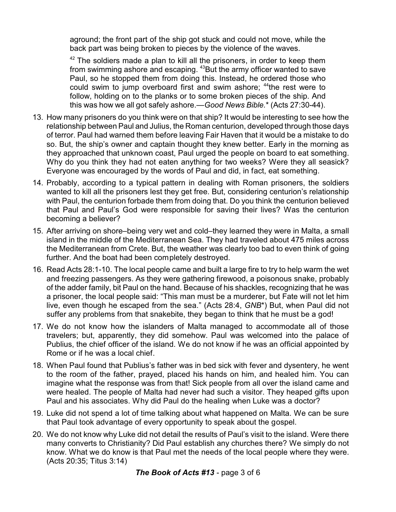aground; the front part of the ship got stuck and could not move, while the back part was being broken to pieces by the violence of the waves.

 $42$  The soldiers made a plan to kill all the prisoners, in order to keep them from swimming ashore and escaping. <sup>43</sup>But the army officer wanted to save Paul, so he stopped them from doing this. Instead, he ordered those who could swim to jump overboard first and swim ashore; <sup>44</sup>the rest were to follow, holding on to the planks or to some broken pieces of the ship. And this was how we all got safely ashore.—*Good News Bible.*\* (Acts 27:30-44).

- 13. How many prisoners do you think were on that ship? It would be interesting to see how the relationship between Paul and Julius, the Roman centurion, developed through those days of terror. Paul had warned them before leaving Fair Haven that it would be a mistake to do so. But, the ship's owner and captain thought they knew better. Early in the morning as they approached that unknown coast, Paul urged the people on board to eat something. Why do you think they had not eaten anything for two weeks? Were they all seasick? Everyone was encouraged by the words of Paul and did, in fact, eat something.
- 14. Probably, according to a typical pattern in dealing with Roman prisoners, the soldiers wanted to kill all the prisoners lest they get free. But, considering centurion's relationship with Paul, the centurion forbade them from doing that. Do you think the centurion believed that Paul and Paul's God were responsible for saving their lives? Was the centurion becoming a believer?
- 15. After arriving on shore–being very wet and cold–they learned they were in Malta, a small island in the middle of the Mediterranean Sea. They had traveled about 475 miles across the Mediterranean from Crete. But, the weather was clearly too bad to even think of going further. And the boat had been completely destroyed.
- 16. Read Acts 28:1-10. The local people came and built a large fire to try to help warm the wet and freezing passengers. As they were gathering firewood, a poisonous snake, probably of the adder family, bit Paul on the hand. Because of his shackles, recognizing that he was a prisoner, the local people said: "This man must be a murderer, but Fate will not let him live, even though he escaped from the sea." (Acts 28:4, *GNB*\*) But, when Paul did not suffer any problems from that snakebite, they began to think that he must be a god!
- 17. We do not know how the islanders of Malta managed to accommodate all of those travelers; but, apparently, they did somehow. Paul was welcomed into the palace of Publius, the chief officer of the island. We do not know if he was an official appointed by Rome or if he was a local chief.
- 18. When Paul found that Publius's father was in bed sick with fever and dysentery, he went to the room of the father, prayed, placed his hands on him, and healed him. You can imagine what the response was from that! Sick people from all over the island came and were healed. The people of Malta had never had such a visitor. They heaped gifts upon Paul and his associates. Why did Paul do the healing when Luke was a doctor?
- 19. Luke did not spend a lot of time talking about what happened on Malta. We can be sure that Paul took advantage of every opportunity to speak about the gospel.
- 20. We do not know why Luke did not detail the results of Paul's visit to the island. Were there many converts to Christianity? Did Paul establish any churches there? We simply do not know. What we do know is that Paul met the needs of the local people where they were. (Acts 20:35; Titus 3:14)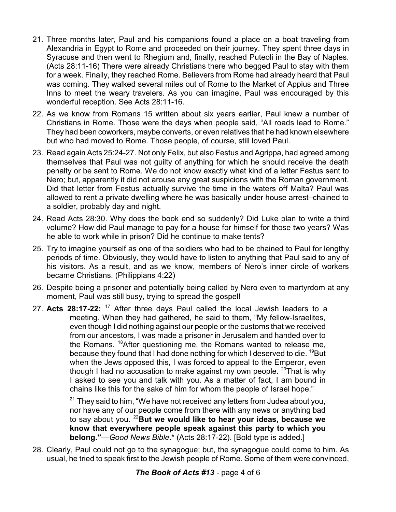- 21. Three months later, Paul and his companions found a place on a boat traveling from Alexandria in Egypt to Rome and proceeded on their journey. They spent three days in Syracuse and then went to Rhegium and, finally, reached Puteoli in the Bay of Naples. (Acts 28:11-16) There were already Christians there who begged Paul to stay with them for a week. Finally, they reached Rome. Believers from Rome had already heard that Paul was coming. They walked several miles out of Rome to the Market of Appius and Three Inns to meet the weary travelers. As you can imagine, Paul was encouraged by this wonderful reception. See Acts 28:11-16.
- 22. As we know from Romans 15 written about six years earlier, Paul knew a number of Christians in Rome. Those were the days when people said, "All roads lead to Rome." They had been coworkers, maybe converts, or even relatives that he had known elsewhere but who had moved to Rome. Those people, of course, still loved Paul.
- 23. Read again Acts 25:24-27. Not only Felix, but also Festus and Agrippa, had agreed among themselves that Paul was not guilty of anything for which he should receive the death penalty or be sent to Rome. We do not know exactly what kind of a letter Festus sent to Nero; but, apparently it did not arouse any great suspicions with the Roman government. Did that letter from Festus actually survive the time in the waters off Malta? Paul was allowed to rent a private dwelling where he was basically under house arrest–chained to a soldier, probably day and night.
- 24. Read Acts 28:30. Why does the book end so suddenly? Did Luke plan to write a third volume? How did Paul manage to pay for a house for himself for those two years? Was he able to work while in prison? Did he continue to make tents?
- 25. Try to imagine yourself as one of the soldiers who had to be chained to Paul for lengthy periods of time. Obviously, they would have to listen to anything that Paul said to any of his visitors. As a result, and as we know, members of Nero's inner circle of workers became Christians. (Philippians 4:22)
- 26. Despite being a prisoner and potentially being called by Nero even to martyrdom at any moment, Paul was still busy, trying to spread the gospel!
- 27. **Acts 28:17-22:** <sup>17</sup> After three days Paul called the local Jewish leaders to a meeting. When they had gathered, he said to them, "My fellow-Israelites, even though I did nothing against our people or the customs that we received from our ancestors, I was made a prisoner in Jerusalem and handed over to the Romans. <sup>18</sup> After questioning me, the Romans wanted to release me, because they found that I had done nothing for which I deserved to die.  $^{19}$ But when the Jews opposed this, I was forced to appeal to the Emperor, even though I had no accusation to make against my own people.  $20$ That is why I asked to see you and talk with you. As a matter of fact, I am bound in chains like this for the sake of him for whom the people of Israel hope."

 $^{21}$  They said to him, "We have not received any letters from Judea about you, nor have any of our people come from there with any news or anything bad to say about you. <sup>22</sup>**But we would like to hear your ideas, because we know that everywhere people speak against this party to which you belong."**—*Good News Bible*.\* (Acts 28:17-22). [Bold type is added.]

28. Clearly, Paul could not go to the synagogue; but, the synagogue could come to him. As usual, he tried to speak first to the Jewish people of Rome. Some of them were convinced,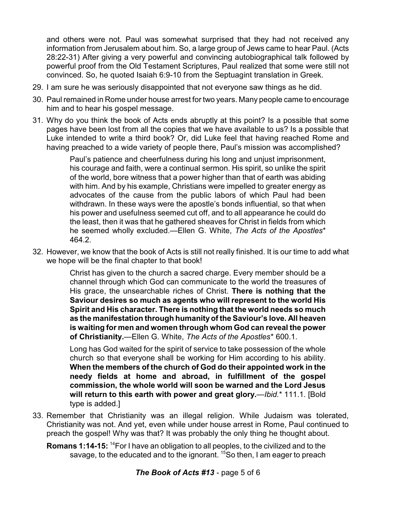and others were not. Paul was somewhat surprised that they had not received any information from Jerusalem about him. So, a large group of Jews came to hear Paul. (Acts 28:22-31) After giving a very powerful and convincing autobiographical talk followed by powerful proof from the Old Testament Scriptures, Paul realized that some were still not convinced. So, he quoted Isaiah 6:9-10 from the Septuagint translation in Greek.

- 29. I am sure he was seriously disappointed that not everyone saw things as he did.
- 30. Paul remained in Rome under house arrest for two years. Many people came to encourage him and to hear his gospel message.
- 31. Why do you think the book of Acts ends abruptly at this point? Is a possible that some pages have been lost from all the copies that we have available to us? Is a possible that Luke intended to write a third book? Or, did Luke feel that having reached Rome and having preached to a wide variety of people there, Paul's mission was accomplished?

Paul's patience and cheerfulness during his long and unjust imprisonment, his courage and faith, were a continual sermon. His spirit, so unlike the spirit of the world, bore witness that a power higher than that of earth was abiding with him. And by his example, Christians were impelled to greater energy as advocates of the cause from the public labors of which Paul had been withdrawn. In these ways were the apostle's bonds influential, so that when his power and usefulness seemed cut off, and to all appearance he could do the least, then it was that he gathered sheaves for Christ in fields from which he seemed wholly excluded.—Ellen G. White, *The Acts of the Apostles*\* 464.2.

32. However, we know that the book of Acts is still not really finished. It is our time to add what we hope will be the final chapter to that book!

> Christ has given to the church a sacred charge. Every member should be a channel through which God can communicate to the world the treasures of His grace, the unsearchable riches of Christ. **There is nothing that the Saviour desires so much as agents who will represent to the world His Spirit and His character. There is nothing that the world needs so much as the manifestation through humanityof the Saviour's love. All heaven is waiting for men and women through whom God can reveal the power of Christianity.**—Ellen G. White, *The Acts of the Apostles*\* 600.1.

> Long has God waited for the spirit of service to take possession of the whole church so that everyone shall be working for Him according to his ability. **When the members of the church of God do their appointed work in the needy fields at home and abroad, in fulfillment of the gospel commission, the whole world will soon be warned and the Lord Jesus will return to this earth with power and great glory.**—*Ibid.*\* 111.1. [Bold type is added.]

33. Remember that Christianity was an illegal religion. While Judaism was tolerated, Christianity was not. And yet, even while under house arrest in Rome, Paul continued to preach the gospel! Why was that? It was probably the only thing he thought about.

**Romans 1:14-15:** <sup>14</sup>For I have an obligation to all peoples, to the civilized and to the savage, to the educated and to the ignorant. <sup>15</sup>So then, I am eager to preach